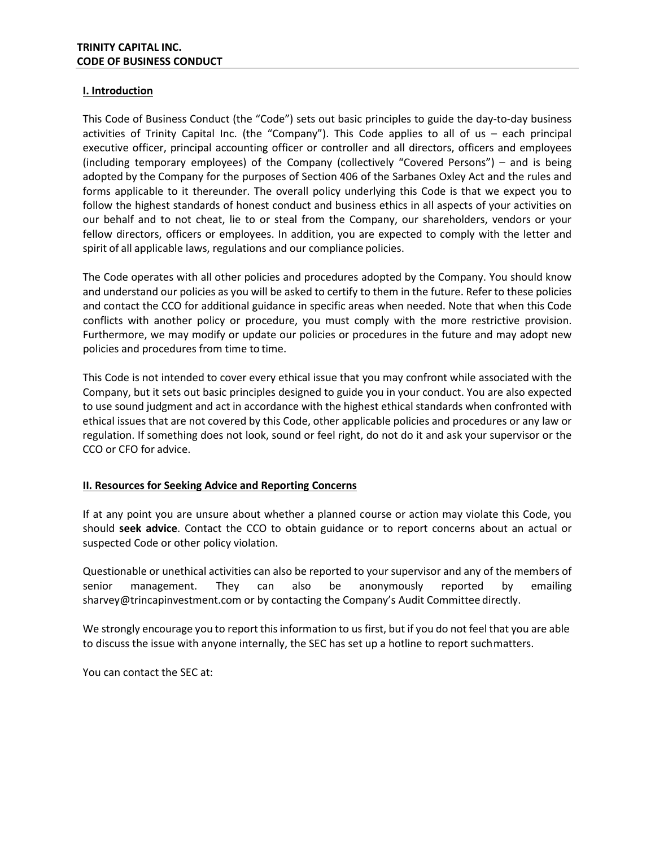### **I. Introduction**

This Code of Business Conduct (the "Code") sets out basic principles to guide the day-to-day business activities of Trinity Capital Inc. (the "Company"). This Code applies to all of us – each principal executive officer, principal accounting officer or controller and all directors, officers and employees (including temporary employees) of the Company (collectively "Covered Persons") – and is being adopted by the Company for the purposes of Section 406 of the Sarbanes Oxley Act and the rules and forms applicable to it thereunder. The overall policy underlying this Code is that we expect you to follow the highest standards of honest conduct and business ethics in all aspects of your activities on our behalf and to not cheat, lie to or steal from the Company, our shareholders, vendors or your fellow directors, officers or employees. In addition, you are expected to comply with the letter and spirit of all applicable laws, regulations and our compliance policies.

The Code operates with all other policies and procedures adopted by the Company. You should know and understand our policies as you will be asked to certify to them in the future. Refer to these policies and contact the CCO for additional guidance in specific areas when needed. Note that when this Code conflicts with another policy or procedure, you must comply with the more restrictive provision. Furthermore, we may modify or update our policies or procedures in the future and may adopt new policies and procedures from time to time.

This Code is not intended to cover every ethical issue that you may confront while associated with the Company, but it sets out basic principles designed to guide you in your conduct. You are also expected to use sound judgment and act in accordance with the highest ethical standards when confronted with ethical issues that are not covered by this Code, other applicable policies and procedures or any law or regulation. If something does not look, sound or feel right, do not do it and ask your supervisor or the CCO or CFO for advice.

# **II. Resources for Seeking Advice and Reporting Concerns**

If at any point you are unsure about whether a planned course or action may violate this Code, you should **seek advice**. Contact the CCO to obtain guidance or to report concerns about an actual or suspected Code or other policy violation.

Questionable or unethical activities can also be reported to your supervisor and any of the members of senior management. They can also be anonymously reported by emailing sharvey@trincapinvestment.com or by contacting the Company's Audit Committee directly.

We strongly encourage you to report this information to us first, but if you do not feel that you are able to discuss the issue with anyone internally, the SEC has set up a hotline to report suchmatters.

You can contact the SEC at: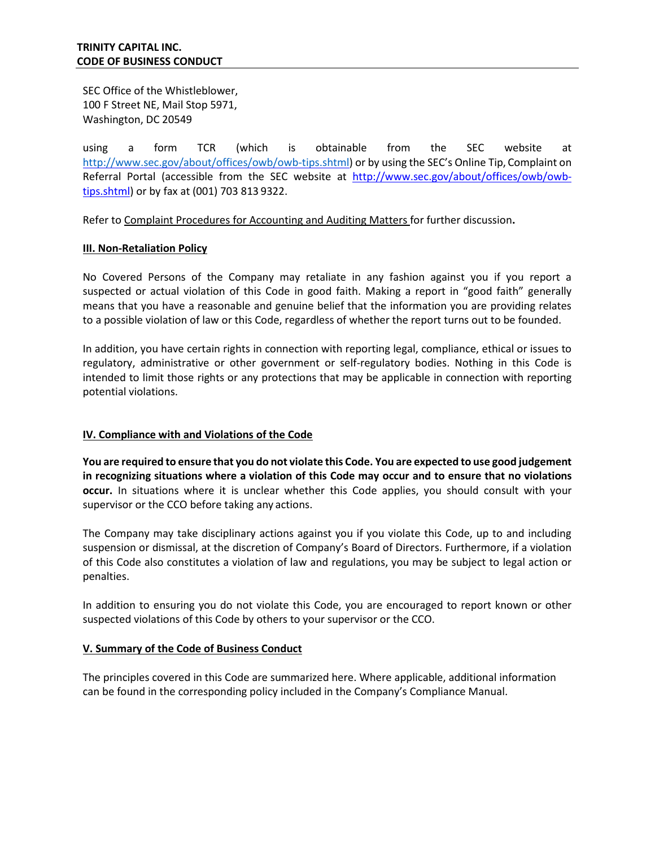SEC Office of the Whistleblower, 100 F Street NE, Mail Stop 5971, Washington, DC 20549

using a form TCR (which is obtainable from the SEC website at [http://www.sec.gov/about/offices/owb/owb-tips.shtml\)](http://www.sec.gov/about/offices/owb/owb-tips.shtml) or by using the SEC's Online Tip, Complaint on Referral Portal (accessible from the SEC website at [http://www.sec.gov/about/offices/owb/owb](http://www.sec.gov/about/offices/owb/owb-tips.shtml)[tips.shtml\)](http://www.sec.gov/about/offices/owb/owb-tips.shtml) or by fax at (001) 703 813 9322.

Refer to Complaint Procedures for Accounting and Auditing Matters for further discussion**.**

#### **III. Non-Retaliation Policy**

No Covered Persons of the Company may retaliate in any fashion against you if you report a suspected or actual violation of this Code in good faith. Making a report in "good faith" generally means that you have a reasonable and genuine belief that the information you are providing relates to a possible violation of law or this Code, regardless of whether the report turns out to be founded.

In addition, you have certain rights in connection with reporting legal, compliance, ethical or issues to regulatory, administrative or other government or self-regulatory bodies. Nothing in this Code is intended to limit those rights or any protections that may be applicable in connection with reporting potential violations.

# **IV. Compliance with and Violations of the Code**

You are required to ensure that you do not violate this Code. You are expected to use good judgement **in recognizing situations where a violation of this Code may occur and to ensure that no violations occur.** In situations where it is unclear whether this Code applies, you should consult with your supervisor or the CCO before taking any actions.

The Company may take disciplinary actions against you if you violate this Code, up to and including suspension or dismissal, at the discretion of Company's Board of Directors. Furthermore, if a violation of this Code also constitutes a violation of law and regulations, you may be subject to legal action or penalties.

In addition to ensuring you do not violate this Code, you are encouraged to report known or other suspected violations of this Code by others to your supervisor or the CCO.

# **V. Summary of the Code of Business Conduct**

The principles covered in this Code are summarized here. Where applicable, additional information can be found in the corresponding policy included in the Company's Compliance Manual.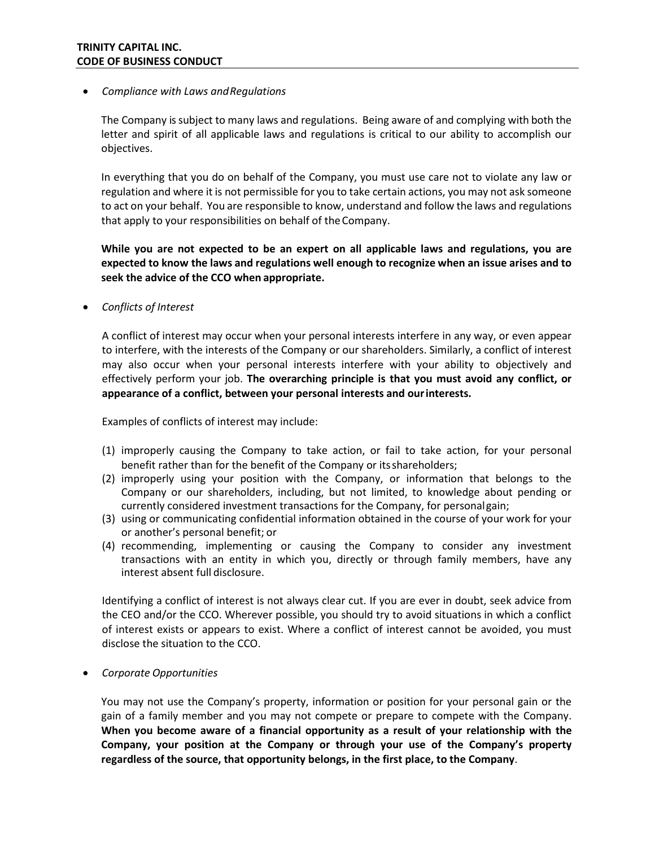### • *Compliance with Laws andRegulations*

The Company issubject to many laws and regulations. Being aware of and complying with both the letter and spirit of all applicable laws and regulations is critical to our ability to accomplish our objectives.

In everything that you do on behalf of the Company, you must use care not to violate any law or regulation and where it is not permissible for you to take certain actions, you may not ask someone to act on your behalf. You are responsible to know, understand and follow the laws and regulations that apply to your responsibilities on behalf of theCompany.

**While you are not expected to be an expert on all applicable laws and regulations, you are expected to know the laws and regulations well enough to recognize when an issue arises and to seek the advice of the CCO when appropriate.**

• *Conflicts of Interest*

A conflict of interest may occur when your personal interests interfere in any way, or even appear to interfere, with the interests of the Company or our shareholders. Similarly, a conflict of interest may also occur when your personal interests interfere with your ability to objectively and effectively perform your job. **The overarching principle is that you must avoid any conflict, or appearance of a conflict, between your personal interests and ourinterests.**

Examples of conflicts of interest may include:

- (1) improperly causing the Company to take action, or fail to take action, for your personal benefit rather than for the benefit of the Company or itsshareholders;
- (2) improperly using your position with the Company, or information that belongs to the Company or our shareholders, including, but not limited, to knowledge about pending or currently considered investment transactions for the Company, for personalgain;
- (3) using or communicating confidential information obtained in the course of your work for your or another's personal benefit; or
- (4) recommending, implementing or causing the Company to consider any investment transactions with an entity in which you, directly or through family members, have any interest absent full disclosure.

Identifying a conflict of interest is not always clear cut. If you are ever in doubt, seek advice from the CEO and/or the CCO. Wherever possible, you should try to avoid situations in which a conflict of interest exists or appears to exist. Where a conflict of interest cannot be avoided, you must disclose the situation to the CCO.

• *Corporate Opportunities*

You may not use the Company's property, information or position for your personal gain or the gain of a family member and you may not compete or prepare to compete with the Company. **When you become aware of a financial opportunity as a result of your relationship with the Company, your position at the Company or through your use of the Company's property regardless of the source, that opportunity belongs, in the first place, to the Company**.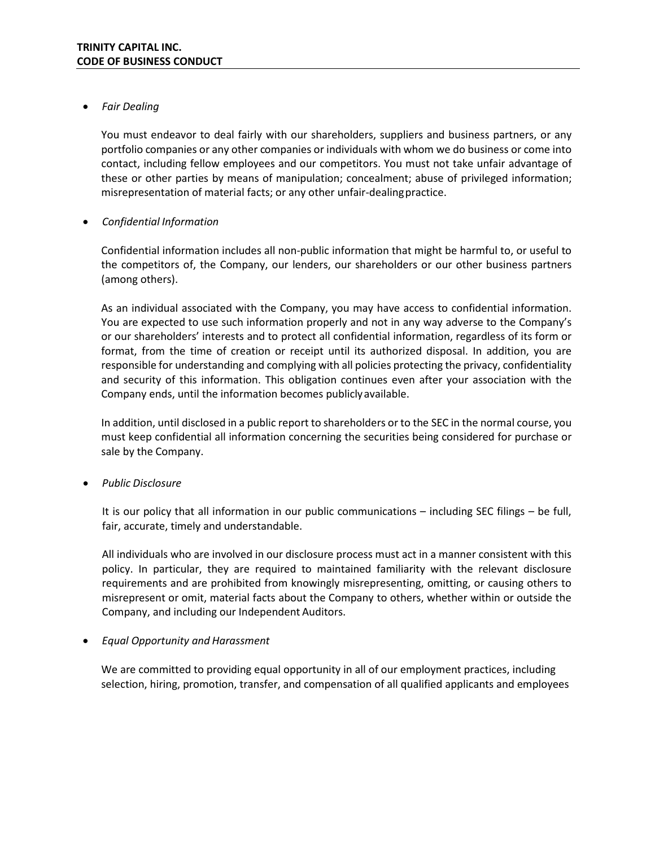# • *Fair Dealing*

You must endeavor to deal fairly with our shareholders, suppliers and business partners, or any portfolio companies or any other companies or individuals with whom we do business or come into contact, including fellow employees and our competitors. You must not take unfair advantage of these or other parties by means of manipulation; concealment; abuse of privileged information; misrepresentation of material facts; or any other unfair-dealingpractice.

# • *Confidential Information*

Confidential information includes all non-public information that might be harmful to, or useful to the competitors of, the Company, our lenders, our shareholders or our other business partners (among others).

As an individual associated with the Company, you may have access to confidential information. You are expected to use such information properly and not in any way adverse to the Company's or our shareholders' interests and to protect all confidential information, regardless of its form or format, from the time of creation or receipt until its authorized disposal. In addition, you are responsible for understanding and complying with all policies protecting the privacy, confidentiality and security of this information. This obligation continues even after your association with the Company ends, until the information becomes publiclyavailable.

In addition, until disclosed in a public report to shareholders or to the SEC in the normal course, you must keep confidential all information concerning the securities being considered for purchase or sale by the Company.

• *Public Disclosure*

It is our policy that all information in our public communications – including SEC filings – be full, fair, accurate, timely and understandable.

All individuals who are involved in our disclosure process must act in a manner consistent with this policy. In particular, they are required to maintained familiarity with the relevant disclosure requirements and are prohibited from knowingly misrepresenting, omitting, or causing others to misrepresent or omit, material facts about the Company to others, whether within or outside the Company, and including our Independent Auditors.

# • *Equal Opportunity and Harassment*

We are committed to providing equal opportunity in all of our employment practices, including selection, hiring, promotion, transfer, and compensation of all qualified applicants and employees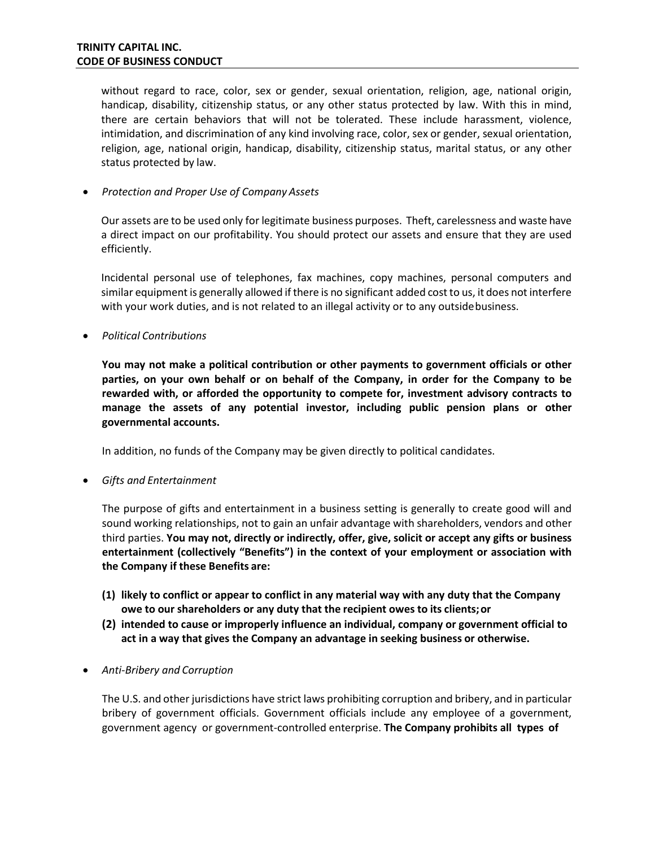without regard to race, color, sex or gender, sexual orientation, religion, age, national origin, handicap, disability, citizenship status, or any other status protected by law. With this in mind, there are certain behaviors that will not be tolerated. These include harassment, violence, intimidation, and discrimination of any kind involving race, color, sex or gender, sexual orientation, religion, age, national origin, handicap, disability, citizenship status, marital status, or any other status protected by law.

• *Protection and Proper Use of Company Assets*

Our assets are to be used only for legitimate business purposes. Theft, carelessness and waste have a direct impact on our profitability. You should protect our assets and ensure that they are used efficiently.

Incidental personal use of telephones, fax machines, copy machines, personal computers and similar equipment is generally allowed if there is no significant added cost to us, it does not interfere with your work duties, and is not related to an illegal activity or to any outside business.

• *Political Contributions*

**You may not make a political contribution or other payments to government officials or other parties, on your own behalf or on behalf of the Company, in order for the Company to be rewarded with, or afforded the opportunity to compete for, investment advisory contracts to manage the assets of any potential investor, including public pension plans or other governmental accounts.**

In addition, no funds of the Company may be given directly to political candidates.

• *Gifts and Entertainment*

The purpose of gifts and entertainment in a business setting is generally to create good will and sound working relationships, not to gain an unfair advantage with shareholders, vendors and other third parties. **You may not, directly or indirectly, offer, give, solicit or accept any gifts or business entertainment (collectively "Benefits") in the context of your employment or association with the Company if these Benefits are:**

- **(1) likely to conflict or appear to conflict in any material way with any duty that the Company owe to our shareholders or any duty that the recipient owes to its clients;or**
- **(2) intended to cause or improperly influence an individual, company or government official to act in a way that gives the Company an advantage in seeking business or otherwise.**
- *Anti-Bribery and Corruption*

The U.S. and other jurisdictions have strict laws prohibiting corruption and bribery, and in particular bribery of government officials. Government officials include any employee of a government, government agency or government-controlled enterprise. **The Company prohibits all types of**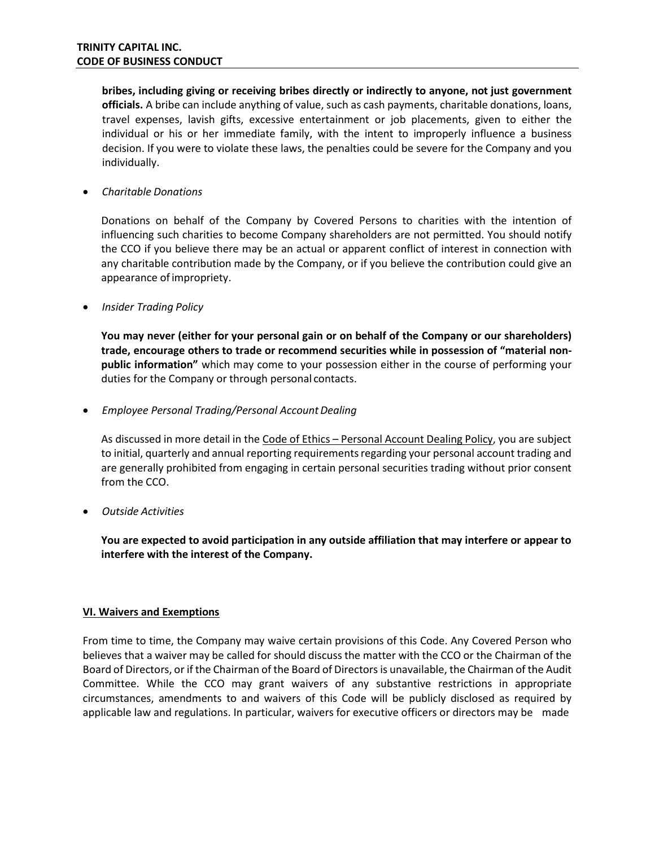**bribes, including giving or receiving bribes directly or indirectly to anyone, not just government officials.** A bribe can include anything of value, such as cash payments, charitable donations, loans, travel expenses, lavish gifts, excessive entertainment or job placements, given to either the individual or his or her immediate family, with the intent to improperly influence a business decision. If you were to violate these laws, the penalties could be severe for the Company and you individually.

• *Charitable Donations*

Donations on behalf of the Company by Covered Persons to charities with the intention of influencing such charities to become Company shareholders are not permitted. You should notify the CCO if you believe there may be an actual or apparent conflict of interest in connection with any charitable contribution made by the Company, or if you believe the contribution could give an appearance ofimpropriety.

• *Insider Trading Policy*

**You may never (either for your personal gain or on behalf of the Company or our shareholders) trade, encourage others to trade or recommend securities while in possession of "material nonpublic information"** which may come to your possession either in the course of performing your duties for the Company or through personal contacts.

• *Employee Personal Trading/Personal AccountDealing*

As discussed in more detail in the Code of Ethics - Personal Account Dealing Policy, you are subject to initial, quarterly and annual reporting requirementsregarding your personal account trading and are generally prohibited from engaging in certain personal securities trading without prior consent from the CCO.

• *Outside Activities*

**You are expected to avoid participation in any outside affiliation that may interfere or appear to interfere with the interest of the Company.**

#### **VI. Waivers and Exemptions**

From time to time, the Company may waive certain provisions of this Code. Any Covered Person who believes that a waiver may be called for should discuss the matter with the CCO or the Chairman of the Board of Directors, or if the Chairman of the Board of Directorsis unavailable, the Chairman of the Audit Committee. While the CCO may grant waivers of any substantive restrictions in appropriate circumstances, amendments to and waivers of this Code will be publicly disclosed as required by applicable law and regulations. In particular, waivers for executive officers or directors may be made